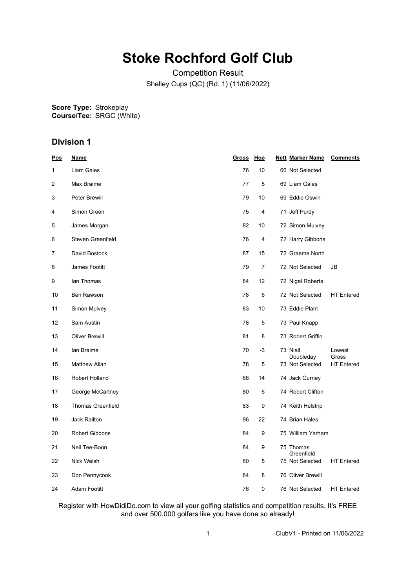# **Stoke Rochford Golf Club**

Competition Result Shelley Cups (QC) (Rd. 1) (11/06/2022)

**Score Type: Course/Tee:** Strokeplay SRGC (White)

## **Division 1**

| <u>Pos</u> | <b>Name</b>              | Gross Hcp |    | <b>Nett Marker Name</b><br><b>Comments</b> |
|------------|--------------------------|-----------|----|--------------------------------------------|
| 1          | Liam Gales               | 76        | 10 | 66 Not Selected                            |
| 2          | Max Braime               | 77        | 8  | 69 Liam Gales                              |
| 3          | Peter Brewill            | 79        | 10 | 69 Eddie Oswin                             |
| 4          | Simon Green              | 75        | 4  | 71 Jeff Purdy                              |
| 5          | James Morgan             | 82        | 10 | 72 Simon Mulvey                            |
| 6          | Steven Greenfield        | 76        | 4  | 72 Harry Gibbons                           |
| 7          | David Bostock            | 87        | 15 | 72 Graeme North                            |
| 8          | James Footitt            | 79        | 7  | 72 Not Selected<br>JB                      |
| 9          | lan Thomas               | 84        | 12 | 72 Nigel Roberts                           |
| 10         | Ben Rawson               | 78        | 6  | 72 Not Selected<br><b>HT</b> Entered       |
| 11         | Simon Mulvey             | 83        | 10 | 73 Eddie Plant                             |
| 12         | Sam Austin               | 78        | 5  | 73 Paul Knapp                              |
| 13         | <b>Oliver Brewill</b>    | 81        | 8  | 73 Robert Griffin                          |
| 14         | lan Braime               | 70        | -3 | 73 Niall<br>Lowest<br>Doubleday<br>Gross   |
| 15         | <b>Matthew Allan</b>     | 78        | 5  | 73 Not Selected<br><b>HT</b> Entered       |
| 16         | Robert Holland           | 88        | 14 | 74 Jack Gurney                             |
| 17         | George McCartney         | 80        | 6  | 74 Robert Clifton                          |
| 18         | <b>Thomas Greenfield</b> | 83        | 9  | 74 Keith Helstrip                          |
| 19         | <b>Jack Railton</b>      | 96        | 22 | 74 Brian Hales                             |
| 20         | <b>Robert Gibbons</b>    | 84        | 9  | 75 William Yarham                          |
| 21         | Neil Tee-Boon            | 84        | 9  | 75 Thomas<br>Greenfield                    |
| 22         | Nick Welsh               | 80        | 5  | 75 Not Selected<br><b>HT</b> Entered       |
| 23         | Don Pennycook            | 84        | 8  | 76 Oliver Brewill                          |
| 24         | Adam Footitt             | 76        | 0  | 76 Not Selected<br><b>HT</b> Entered       |

Register with HowDidiDo.com to view all your golfing statistics and competition results. It's FREE and over 500,000 golfers like you have done so already!

1 ClubV1 - Printed on 11/06/2022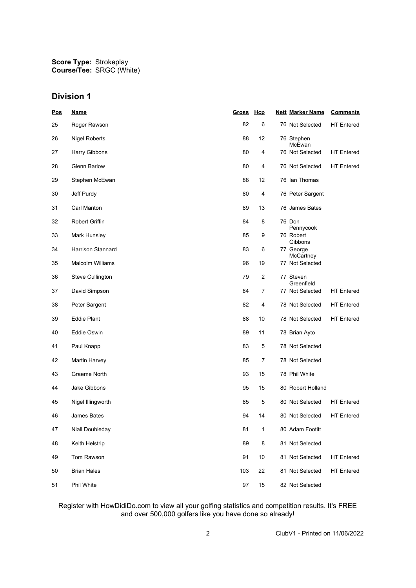### **Division 1**

| Pos | <b>Name</b>             | <u>Gross</u> | <u>Hcp</u>     | <b>Nett Marker Name</b>       | <b>Comments</b>   |
|-----|-------------------------|--------------|----------------|-------------------------------|-------------------|
| 25  | Roger Rawson            | 82           | 6              | 76 Not Selected               | <b>HT Entered</b> |
| 26  | <b>Nigel Roberts</b>    | 88           | 12             | 76 Stephen<br>McEwan          |                   |
| 27  | Harry Gibbons           | 80           | 4              | 76 Not Selected               | <b>HT</b> Entered |
| 28  | <b>Glenn Barlow</b>     | 80           | 4              | 76 Not Selected               | <b>HT</b> Entered |
| 29  | Stephen McEwan          | 88           | 12             | 76 Ian Thomas                 |                   |
| 30  | Jeff Purdy              | 80           | 4              | 76 Peter Sargent              |                   |
| 31  | Carl Manton             | 89           | 13             | 76 James Bates                |                   |
| 32  | Robert Griffin          | 84           | 8              | 76 Don                        |                   |
| 33  | Mark Hunsley            | 85           | 9              | Pennycook<br>76 Robert        |                   |
| 34  | Harrison Stannard       | 83           | 6              | Gibbons<br>77 George          |                   |
| 35  | <b>Malcolm Williams</b> | 96           | 19             | McCartney<br>77 Not Selected  |                   |
| 36  | Steve Cullington        | 79           | 2              | 77 Steven                     |                   |
| 37  | David Simpson           | 84           | $\overline{7}$ | Greenfield<br>77 Not Selected | <b>HT</b> Entered |
| 38  | Peter Sargent           | 82           | 4              | 78 Not Selected               | <b>HT</b> Entered |
| 39  | <b>Eddie Plant</b>      | 88           | 10             | 78 Not Selected               | <b>HT</b> Entered |
| 40  | Eddie Oswin             | 89           | 11             | 78 Brian Ayto                 |                   |
| 41  | Paul Knapp              | 83           | 5              | 78 Not Selected               |                   |
| 42  | Martin Harvey           | 85           | 7              | 78 Not Selected               |                   |
| 43  | Graeme North            | 93           | 15             | 78 Phil White                 |                   |
| 44  | Jake Gibbons            | 95           | 15             | 80 Robert Holland             |                   |
| 45  | Nigel Illingworth       | 85           | 5              | 80 Not Selected               | <b>HT</b> Entered |
| 46  | James Bates             | 94           | 14             | 80 Not Selected               | <b>HT Entered</b> |
| 47  | Niall Doubleday         | 81           | $\mathbf{1}$   | 80 Adam Footitt               |                   |
| 48  | Keith Helstrip          | 89           | 8              | 81 Not Selected               |                   |
| 49  | Tom Rawson              | 91           | 10             | 81 Not Selected               | <b>HT Entered</b> |
| 50  | <b>Brian Hales</b>      | 103          | 22             | 81 Not Selected               | <b>HT</b> Entered |
| 51  | Phil White              | 97           | 15             | 82 Not Selected               |                   |

#### Register with HowDidiDo.com to view all your golfing statistics and competition results. It's FREE and over 500,000 golfers like you have done so already!